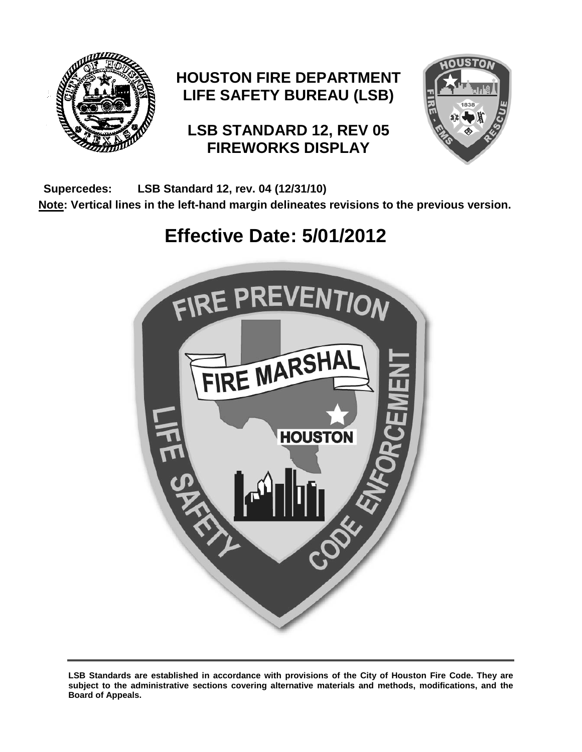

# **HOUSTON FIRE DEPARTMENT LIFE SAFETY BUREAU (LSB)**

# **LSB STANDARD 12, REV 05 FIREWORKS DISPLAY**



**Supercedes: LSB Standard 12, rev. 04 (12/31/10)**

**Note: Vertical lines in the left-hand margin delineates revisions to the previous version.**

# **Effective Date: 5/01/2012**



**LSB Standards are established in accordance with provisions of the City of Houston Fire Code. They are subject to the administrative sections covering alternative materials and methods, modifications, and the Board of Appeals.**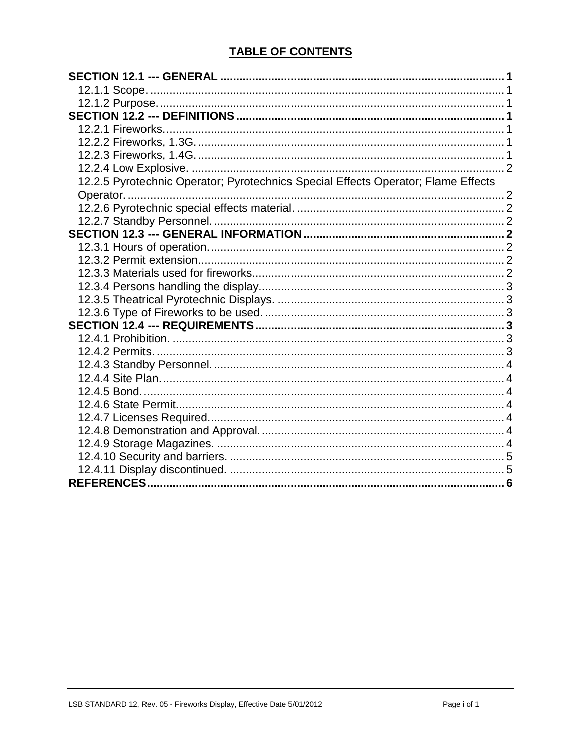# **TABLE OF CONTENTS**

| 12.2.5 Pyrotechnic Operator; Pyrotechnics Special Effects Operator; Flame Effects |  |
|-----------------------------------------------------------------------------------|--|
|                                                                                   |  |
|                                                                                   |  |
|                                                                                   |  |
|                                                                                   |  |
|                                                                                   |  |
|                                                                                   |  |
|                                                                                   |  |
|                                                                                   |  |
|                                                                                   |  |
|                                                                                   |  |
|                                                                                   |  |
|                                                                                   |  |
|                                                                                   |  |
|                                                                                   |  |
|                                                                                   |  |
|                                                                                   |  |
|                                                                                   |  |
|                                                                                   |  |
|                                                                                   |  |
|                                                                                   |  |
|                                                                                   |  |
|                                                                                   |  |
|                                                                                   |  |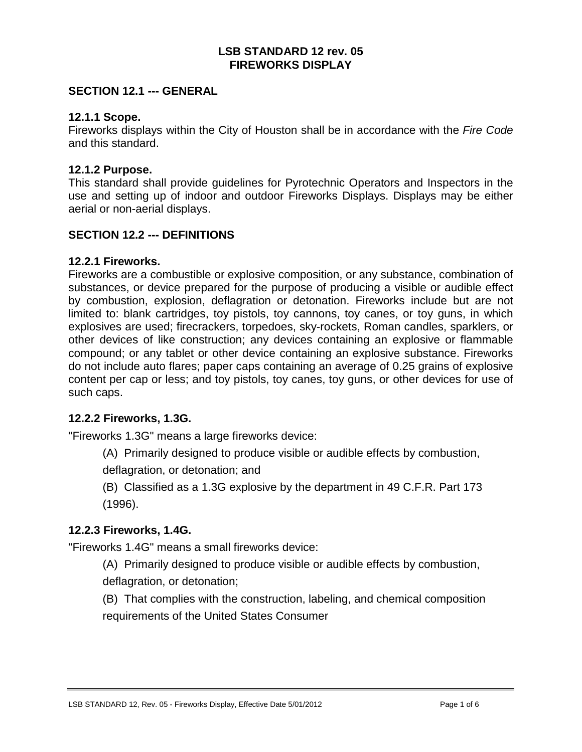#### **LSB STANDARD 12 rev. 05 FIREWORKS DISPLAY**

# <span id="page-2-0"></span>**SECTION 12.1 --- GENERAL**

#### <span id="page-2-1"></span>**12.1.1 Scope.**

Fireworks displays within the City of Houston shall be in accordance with the *Fire Code* and this standard.

#### <span id="page-2-2"></span>**12.1.2 Purpose.**

This standard shall provide guidelines for Pyrotechnic Operators and Inspectors in the use and setting up of indoor and outdoor Fireworks Displays. Displays may be either aerial or non-aerial displays.

#### <span id="page-2-3"></span>**SECTION 12.2 --- DEFINITIONS**

#### <span id="page-2-4"></span>**12.2.1 Fireworks.**

Fireworks are a combustible or explosive composition, or any substance, combination of substances, or device prepared for the purpose of producing a visible or audible effect by combustion, explosion, deflagration or detonation. Fireworks include but are not limited to: blank cartridges, toy pistols, toy cannons, toy canes, or toy guns, in which explosives are used; firecrackers, torpedoes, sky-rockets, Roman candles, sparklers, or other devices of like construction; any devices containing an explosive or flammable compound; or any tablet or other device containing an explosive substance. Fireworks do not include auto flares; paper caps containing an average of 0.25 grains of explosive content per cap or less; and toy pistols, toy canes, toy guns, or other devices for use of such caps.

#### <span id="page-2-5"></span>**12.2.2 Fireworks, 1.3G.**

"Fireworks 1.3G" means a large fireworks device:

(A) Primarily designed to produce visible or audible effects by combustion,

deflagration, or detonation; and

(B) Classified as a 1.3G explosive by the department in 49 C.F.R. Part 173 (1996).

# <span id="page-2-6"></span>**12.2.3 Fireworks, 1.4G.**

"Fireworks 1.4G" means a small fireworks device:

(A) Primarily designed to produce visible or audible effects by combustion, deflagration, or detonation;

(B) That complies with the construction, labeling, and chemical composition requirements of the United States Consumer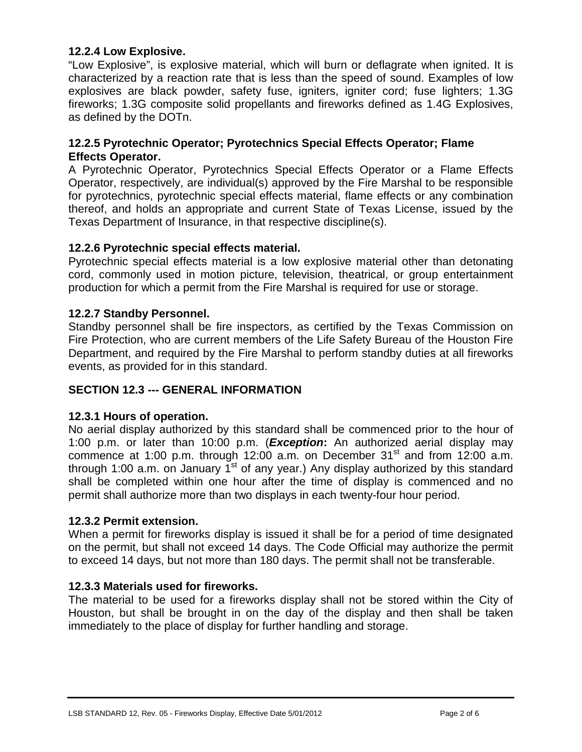# <span id="page-3-0"></span>**12.2.4 Low Explosive.**

"Low Explosive", is explosive material, which will burn or deflagrate when ignited. It is characterized by a reaction rate that is less than the speed of sound. Examples of low explosives are black powder, safety fuse, igniters, igniter cord; fuse lighters; 1.3G fireworks; 1.3G composite solid propellants and fireworks defined as 1.4G Explosives, as defined by the DOTn.

# <span id="page-3-1"></span>**12.2.5 Pyrotechnic Operator; Pyrotechnics Special Effects Operator; Flame Effects Operator.**

A Pyrotechnic Operator, Pyrotechnics Special Effects Operator or a Flame Effects Operator, respectively, are individual(s) approved by the Fire Marshal to be responsible for pyrotechnics, pyrotechnic special effects material, flame effects or any combination thereof, and holds an appropriate and current State of Texas License, issued by the Texas Department of Insurance, in that respective discipline(s).

# <span id="page-3-2"></span>**12.2.6 Pyrotechnic special effects material.**

Pyrotechnic special effects material is a low explosive material other than detonating cord, commonly used in motion picture, television, theatrical, or group entertainment production for which a permit from the Fire Marshal is required for use or storage.

# <span id="page-3-3"></span>**12.2.7 Standby Personnel.**

Standby personnel shall be fire inspectors, as certified by the Texas Commission on Fire Protection, who are current members of the Life Safety Bureau of the Houston Fire Department, and required by the Fire Marshal to perform standby duties at all fireworks events, as provided for in this standard.

# <span id="page-3-4"></span>**SECTION 12.3 --- GENERAL INFORMATION**

# <span id="page-3-5"></span>**12.3.1 Hours of operation.**

No aerial display authorized by this standard shall be commenced prior to the hour of 1:00 p.m. or later than 10:00 p.m. (*Exception***:** An authorized aerial display may commence at 1:00 p.m. through 12:00 a.m. on December  $31<sup>st</sup>$  and from 12:00 a.m. through 1:00 a.m. on January  $1<sup>st</sup>$  of any year.) Any display authorized by this standard shall be completed within one hour after the time of display is commenced and no permit shall authorize more than two displays in each twenty-four hour period.

# <span id="page-3-6"></span>**12.3.2 Permit extension.**

When a permit for fireworks display is issued it shall be for a period of time designated on the permit, but shall not exceed 14 days. The Code Official may authorize the permit to exceed 14 days, but not more than 180 days. The permit shall not be transferable.

# <span id="page-3-7"></span>**12.3.3 Materials used for fireworks.**

The material to be used for a fireworks display shall not be stored within the City of Houston, but shall be brought in on the day of the display and then shall be taken immediately to the place of display for further handling and storage.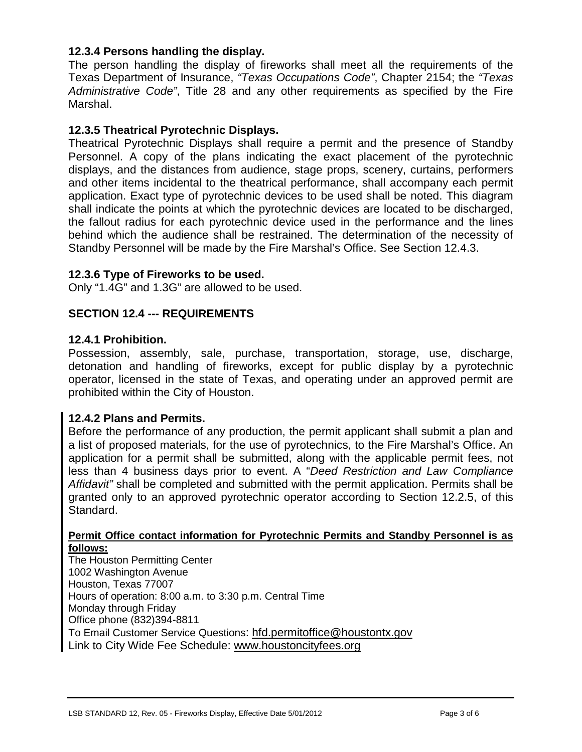# <span id="page-4-0"></span>**12.3.4 Persons handling the display.**

The person handling the display of fireworks shall meet all the requirements of the Texas Department of Insurance, *"Texas Occupations Code"*, Chapter 2154; the *"Texas Administrative Code"*, Title 28 and any other requirements as specified by the Fire Marshal.

# <span id="page-4-1"></span>**12.3.5 Theatrical Pyrotechnic Displays.**

Theatrical Pyrotechnic Displays shall require a permit and the presence of Standby Personnel. A copy of the plans indicating the exact placement of the pyrotechnic displays, and the distances from audience, stage props, scenery, curtains, performers and other items incidental to the theatrical performance, shall accompany each permit application. Exact type of pyrotechnic devices to be used shall be noted. This diagram shall indicate the points at which the pyrotechnic devices are located to be discharged, the fallout radius for each pyrotechnic device used in the performance and the lines behind which the audience shall be restrained. The determination of the necessity of Standby Personnel will be made by the Fire Marshal's Office. See Section 12.4.3.

# <span id="page-4-2"></span>**12.3.6 Type of Fireworks to be used.**

Only "1.4G" and 1.3G" are allowed to be used.

# <span id="page-4-3"></span>**SECTION 12.4 --- REQUIREMENTS**

# <span id="page-4-4"></span>**12.4.1 Prohibition.**

Possession, assembly, sale, purchase, transportation, storage, use, discharge, detonation and handling of fireworks, except for public display by a pyrotechnic operator, licensed in the state of Texas, and operating under an approved permit are prohibited within the City of Houston.

# <span id="page-4-5"></span>**12.4.2 Plans and Permits.**

Before the performance of any production, the permit applicant shall submit a plan and a list of proposed materials, for the use of pyrotechnics, to the Fire Marshal's Office. An application for a permit shall be submitted, along with the applicable permit fees, not less than 4 business days prior to event. A "*Deed Restriction and Law Compliance Affidavit"* shall be completed and submitted with the permit application. Permits shall be granted only to an approved pyrotechnic operator according to Section 12.2.5, of this Standard.

#### **Permit Office contact information for Pyrotechnic Permits and Standby Personnel is as follows:**

The Houston Permitting Center 1002 Washington Avenue Houston, Texas 77007 Hours of operation: 8:00 a.m. to 3:30 p.m. Central Time Monday through Friday Office phone (832)394-8811 To Email Customer Service Questions: [hfd.permitoffice@houstontx.gov](mailto:hfd.permitoffice@houstontx.gov) Link to City Wide Fee Schedule: [www.houstoncityfees.org](http://www.houstoncityfees.org/)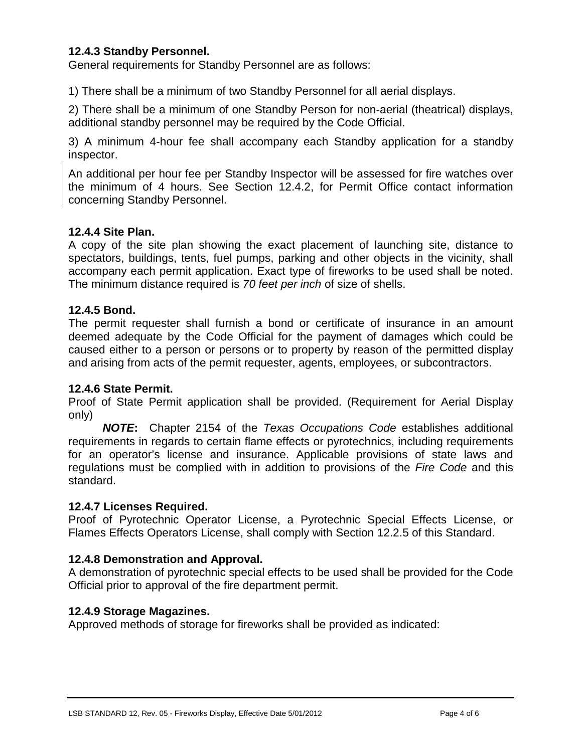# <span id="page-5-0"></span>**12.4.3 Standby Personnel.**

General requirements for Standby Personnel are as follows:

1) There shall be a minimum of two Standby Personnel for all aerial displays.

2) There shall be a minimum of one Standby Person for non-aerial (theatrical) displays, additional standby personnel may be required by the Code Official.

3) A minimum 4-hour fee shall accompany each Standby application for a standby inspector.

An additional per hour fee per Standby Inspector will be assessed for fire watches over the minimum of 4 hours. See Section 12.4.2, for Permit Office contact information concerning Standby Personnel.

#### <span id="page-5-1"></span>**12.4.4 Site Plan.**

A copy of the site plan showing the exact placement of launching site, distance to spectators, buildings, tents, fuel pumps, parking and other objects in the vicinity, shall accompany each permit application. Exact type of fireworks to be used shall be noted. The minimum distance required is *70 feet per inch* of size of shells.

#### <span id="page-5-2"></span>**12.4.5 Bond.**

The permit requester shall furnish a bond or certificate of insurance in an amount deemed adequate by the Code Official for the payment of damages which could be caused either to a person or persons or to property by reason of the permitted display and arising from acts of the permit requester, agents, employees, or subcontractors.

#### <span id="page-5-3"></span>**12.4.6 State Permit.**

Proof of State Permit application shall be provided. (Requirement for Aerial Display only)

*NOTE***:** Chapter 2154 of the *Texas Occupations Code* establishes additional requirements in regards to certain flame effects or pyrotechnics, including requirements for an operator's license and insurance. Applicable provisions of state laws and regulations must be complied with in addition to provisions of the *Fire Code* and this standard.

#### <span id="page-5-4"></span>**12.4.7 Licenses Required.**

Proof of Pyrotechnic Operator License, a Pyrotechnic Special Effects License, or Flames Effects Operators License, shall comply with Section 12.2.5 of this Standard.

# <span id="page-5-5"></span>**12.4.8 Demonstration and Approval.**

A demonstration of pyrotechnic special effects to be used shall be provided for the Code Official prior to approval of the fire department permit.

#### <span id="page-5-6"></span>**12.4.9 Storage Magazines.**

Approved methods of storage for fireworks shall be provided as indicated: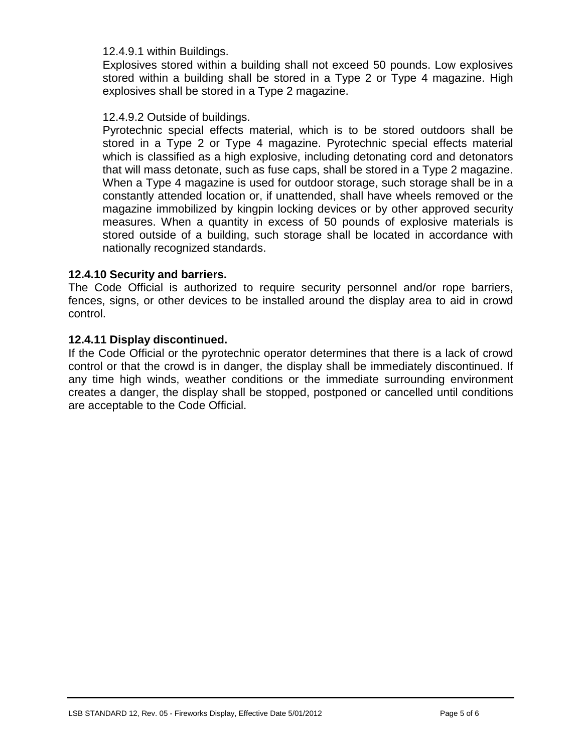#### 12.4.9.1 within Buildings.

Explosives stored within a building shall not exceed 50 pounds. Low explosives stored within a building shall be stored in a Type 2 or Type 4 magazine. High explosives shall be stored in a Type 2 magazine.

#### 12.4.9.2 Outside of buildings.

Pyrotechnic special effects material, which is to be stored outdoors shall be stored in a Type 2 or Type 4 magazine. Pyrotechnic special effects material which is classified as a high explosive, including detonating cord and detonators that will mass detonate, such as fuse caps, shall be stored in a Type 2 magazine. When a Type 4 magazine is used for outdoor storage, such storage shall be in a constantly attended location or, if unattended, shall have wheels removed or the magazine immobilized by kingpin locking devices or by other approved security measures. When a quantity in excess of 50 pounds of explosive materials is stored outside of a building, such storage shall be located in accordance with nationally recognized standards.

#### <span id="page-6-0"></span>**12.4.10 Security and barriers.**

The Code Official is authorized to require security personnel and/or rope barriers, fences, signs, or other devices to be installed around the display area to aid in crowd control.

#### <span id="page-6-1"></span>**12.4.11 Display discontinued.**

If the Code Official or the pyrotechnic operator determines that there is a lack of crowd control or that the crowd is in danger, the display shall be immediately discontinued. If any time high winds, weather conditions or the immediate surrounding environment creates a danger, the display shall be stopped, postponed or cancelled until conditions are acceptable to the Code Official.